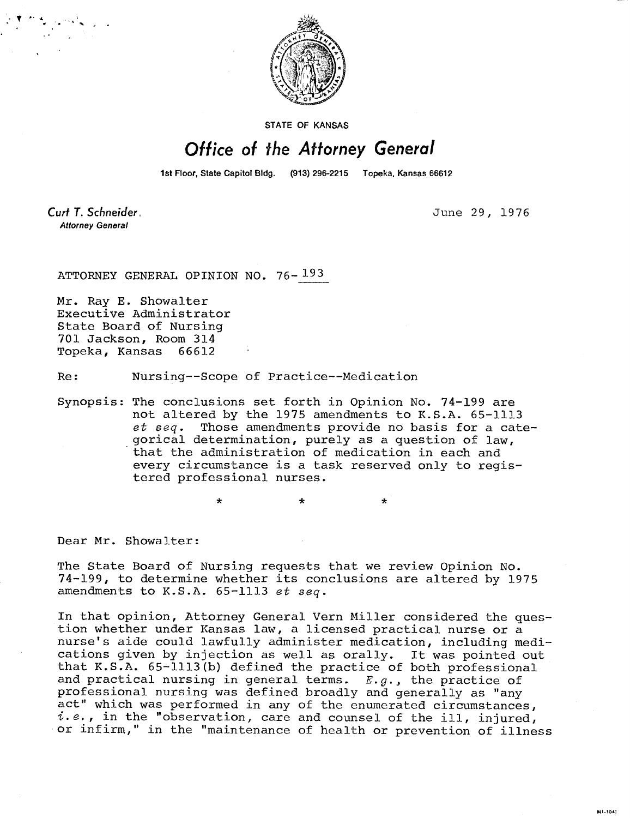

STATE OF KANSAS

## Office of the Attorney General

1st Floor, State Capitol Bldg. (913) 296-2215 Topeka, Kansas 66612

Curt T. Schneider. **Attorney General** 

June 29, 1976

MI-1043

ATTORNEY GENERAL OPINION NO. 76- 193

Mr. Ray E. Showalter Executive Administrator State Board of Nursing 701 Jackson, Room 314 Topeka, Kansas 66612

Re: Nursing--Scope of Practice--Medication

\*

Synopsis: The conclusions set forth in Opinion No. 74-199 are not altered by the 1975 amendments to K.S.A. 65-1113 et seq. Those amendments provide no basis for a categorical determination, purely as a question of law, that the administration of medication in each and every circumstance is a task reserved only to registered professional nurses.

Dear Mr. Showalter:

The State Board of Nursing requests that we review Opinion No. 74-199, to determine whether its conclusions are altered by 1975 amendments to K.S.A. 65-1113 et seq.

In that opinion, Attorney General Vern Miller considered the question whether under Kansas law, a licensed practical nurse or a nurse's aide could lawfully administer medication, including medications given by injection as well as orally. It was pointed out that K.S.A. 65-1113(b) defined the practice of both professional and practical nursing in general terms.  $E.g.,$  the practice of professional nursing was defined broadly and generally as "any act" which was performed in any of the enumerated circumstances,  $i.e.,$  in the "observation, care and counsel of the ill, injured, or infirm," in the "maintenance of health or prevention of illness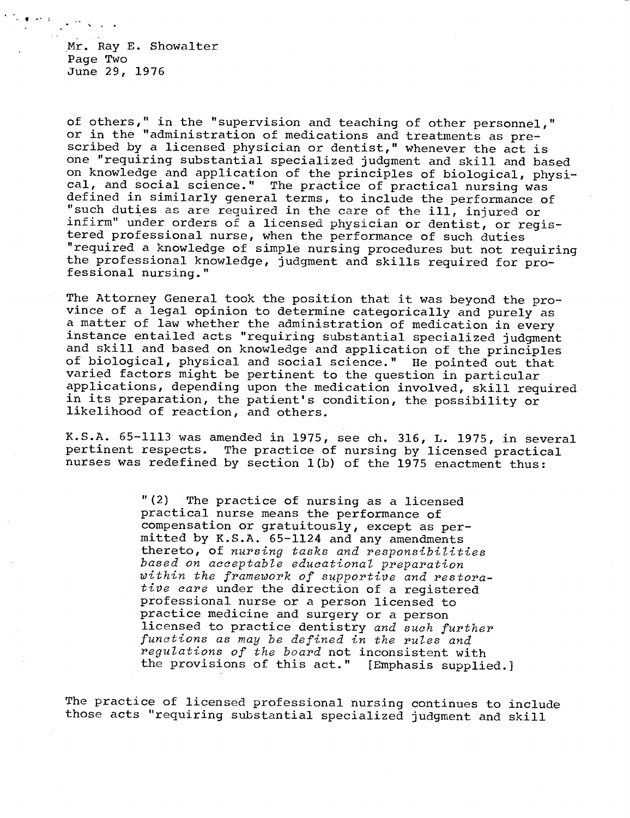Mr. Ray E. Showalter Page Two June 29, 1976

of others," in the "supervision and teaching of other personnel," or in the "administration of medications and treatments as prescribed by a licensed physician or dentist," whenever the act is one "requiring substantial specialized judgment and skill and based on knowledge and application of the principles of biological, physical, and social science." The practice of practical nursing was defined in similarly general terms, to include the performance of "such duties as are required in the care of the ill, injured or infirm" under orders of a licensed physician or dentist, or registered professional nurse, when the performance of such duties "required a knowledge of simple nursing procedures but not requiring the professional knowledge, judgment and skills required for professional nursing."

The Attorney General took the position that it was beyond the province of a legal opinion to determine categorically and purely as a matter of law whether the administration of medication in every instance entailed acts "requiring substantial specialized judgment and skill and based on knowledge and application of the principles of biological, physical and social science." He pointed out that varied factors might be pertinent to the question in particular applications, depending upon the medication involved, skill required in its preparation, the patient's condition, the possibility or likelihood of reaction, and others.

K.S.A. 65-1113 was amended in 1975, see ch. 316, L. 1975, in several pertinent respects. The practice of nursing by licensed practical The practice of nursing by licensed practical nurses was redefined by section 1(b) of the 1975 enactment thus:

> "(2) The practice of nursing as a licensed practical nurse means the performance of compensation or gratuitously, except as permitted by K.S.A. 65-1124 and any amendments thereto, of nursing tasks and responsibilities based on acceptable educational preparation within the framework of supportive and restorative care under the direction of a registered professional nurse or a person licensed to practice medicine and surgery or a person licensed to practice dentistry and such further functions as may be defined in the rules and regulations of the board not inconsistent with the provisions of this act." [Emphasis supplied.]

The practice of licensed professional nursing continues to include those acts "requiring substantial specialized judgment and skill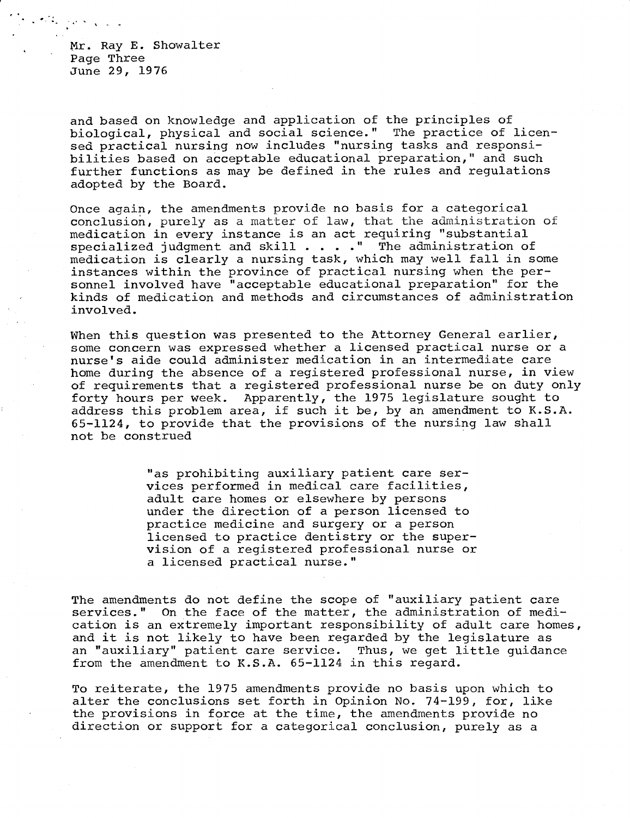Mr. Ray E. Showalter Page Three June 29, 1976

and based on knowledge and application of the principles of biological, physical and social science." The practice of licensed practical nursing now includes "nursing tasks and responsibilities based on acceptable educational preparation," and such further functions as may be defined in the rules and regulations adopted by the Board.

Once again, the amendments provide no basis for a categorical conclusion, purely as a matter of law, that the administration of medication in every instance is an act requiring "substantial specialized judgment and skill . . . ." The administration of medication is clearly a nursing task, which may well fall in some instances within the province of practical nursing when the personnel involved have "acceptable educational preparation" for the kinds of medication and methods and circumstances of administration involved.

When this question was presented to the Attorney General earlier, some concern was expressed whether a licensed practical nurse or a nurse's aide could administer medication in an intermediate care home during the absence of a registered professional nurse, in view of requirements that a registered professional nurse be on duty only forty hours per week. Apparently, the 1975 legislature sought to address this problem area, if such it be, by an amendment to K.S.A. 65-1124, to provide that the provisions of the nursing law shall not be construed

> "as prohibiting auxiliary patient care services performed in medical care facilities, adult care homes or elsewhere by persons under the direction of a person licensed to practice medicine and surgery or a person licensed to practice dentistry or the supervision of a registered professional nurse or a licensed practical nurse."

The amendments do not define the scope of "auxiliary patient care services." On the face of the matter, the administration of medication is an extremely important responsibility of adult care homes, and it is not likely to have been regarded by the legislature as an "auxiliary" patient care service. Thus, we get little guidance from the amendment to K.S.A. 65-1124 in this regard.

To reiterate, the 1975 amendments provide no basis upon which to alter the conclusions set forth in Opinion No. 74-199, for, like the provisions in force at the time, the amendments provide no direction or support for a categorical conclusion, purely as a